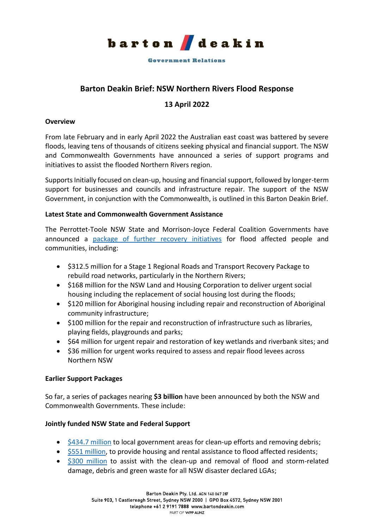

**Government Relations** 

## **Barton Deakin Brief: NSW Northern Rivers Flood Response**

## **13 April 2022**

#### **Overview**

From late February and in early April 2022 the Australian east coast was battered by severe floods, leaving tens of thousands of citizens seeking physical and financial support. The NSW and Commonwealth Governments have announced a series of support programs and initiatives to assist the flooded Northern Rivers region.

Supports Initially focused on clean-up, housing and financial support, followed by longer-term support for businesses and councils and infrastructure repair. The support of the NSW Government, in conjunction with the Commonwealth, is outlined in this Barton Deakin Brief.

#### **Latest State and Commonwealth Government Assistance**

The Perrottet-Toole NSW State and Morrison-Joyce Federal Coalition Governments have announced a [package of further recovery initiatives](https://www.nsw.gov.au/media-releases/further-support-for-nsw-flood-zones) for flood affected people and communities, including:

- \$312.5 million for a Stage 1 Regional Roads and Transport Recovery Package to rebuild road networks, particularly in the Northern Rivers;
- \$168 million for the NSW Land and Housing Corporation to deliver urgent social housing including the replacement of social housing lost during the floods;
- \$120 million for Aboriginal housing including repair and reconstruction of Aboriginal community infrastructure;
- \$100 million for the repair and reconstruction of infrastructure such as libraries, playing fields, playgrounds and parks;
- \$64 million for urgent repair and restoration of key wetlands and riverbank sites; and
- \$36 million for urgent works required to assess and repair flood levees across Northern NSW

## **Earlier Support Packages**

So far, a series of packages nearing **\$3 billion** have been announced by both the NSW and Commonwealth Governments. These include:

## **Jointly funded NSW State and Federal Support**

- [\\$434.7 million](https://www.nsw.gov.au/media-releases/funding-to-help-flood-hit-communities-farmers-small-businesses-and-councils) to local government areas for clean-up efforts and removing debris;
- [\\$551 million,](https://www.pm.gov.au/media/new-joint-funding-program-support-flood-victims-accomodation-and-grants) to provide housing and rental assistance to flood affected residents;
- [\\$300 million](https://ministers.pmc.gov.au/mckenzie/2022/2022-23-budget-targets-flood-support-and-national-recovery-and-resilience) to assist with the clean-up and removal of flood and storm-related damage, debris and green waste for all NSW disaster declared LGAs;